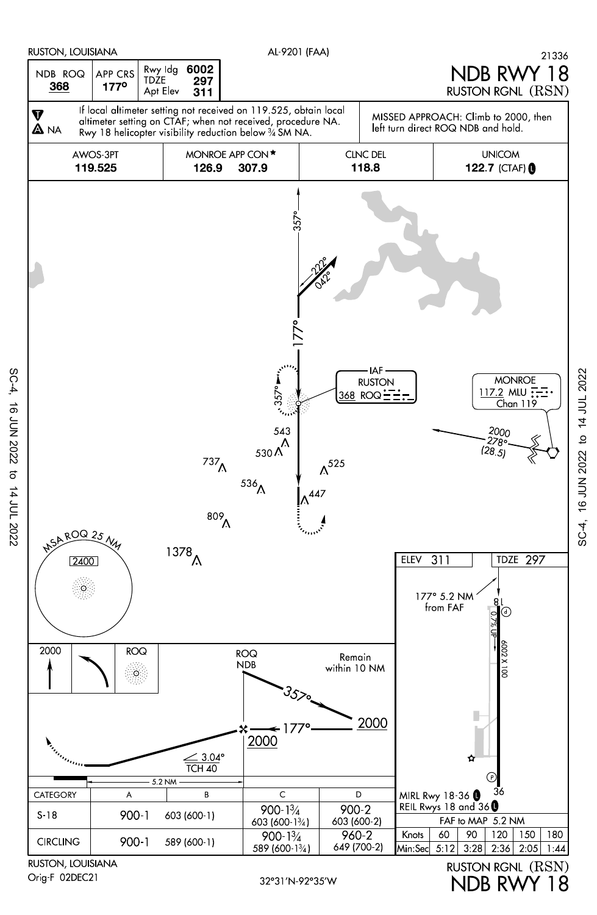

Orig-F 02DEC21

SC-4, 16 JUN 2022 to 14 JUL 2022

16 JUN 2022 to 14 JUL 2022

 $SC-4$ ,

NDB RWY 18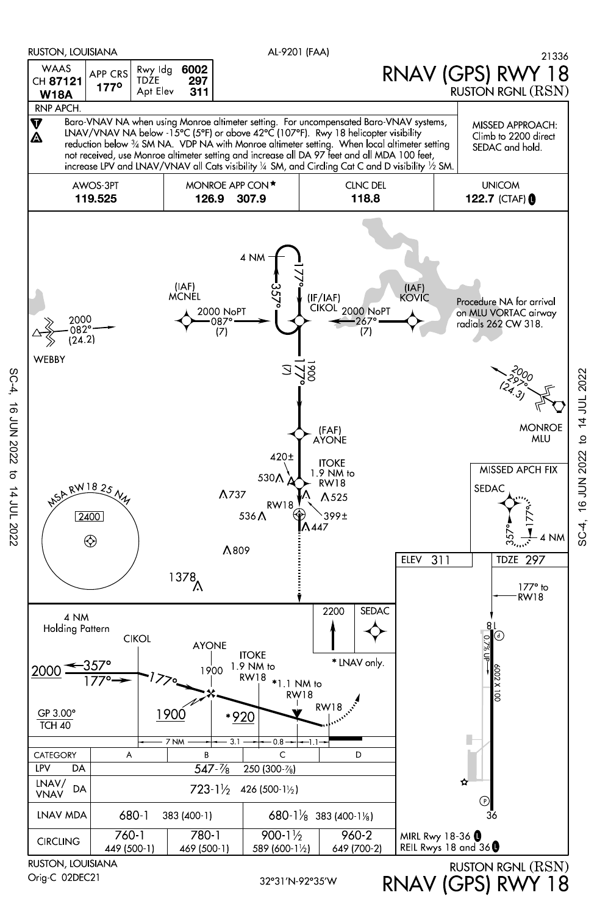

 $SC-4$ **16 JUN 2022**  $\vec{c}$ 14 JUL 2022

Orig-C 02DEC21

RNAV (GPS) RWY 18

16 JUN 2022 to 14 JUL 2022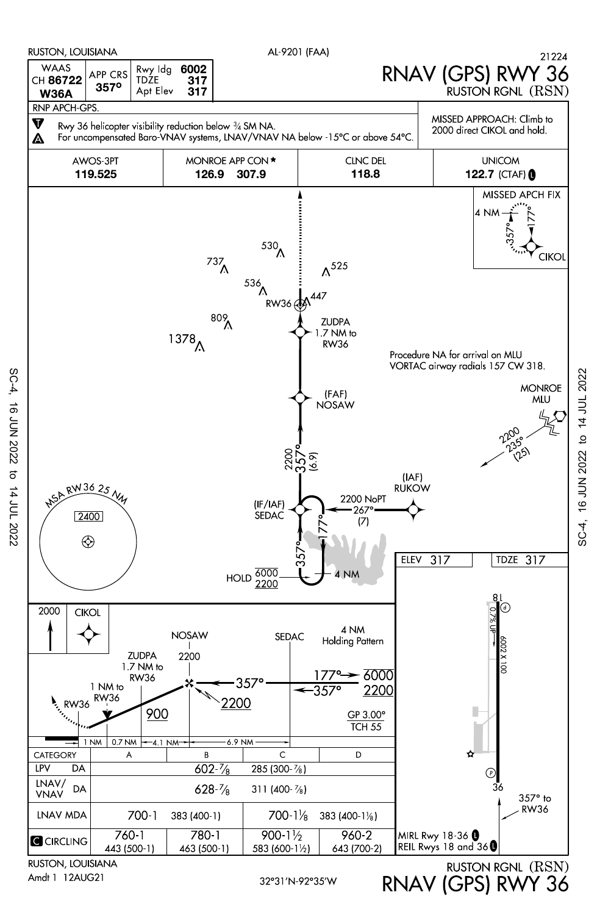

SC-4, SC-4, 16 JUN 2022 to 14 JUL 2022 16 JUN 2022  $\sigma$ 14 JUL 2022

32°31'N-92°35'W

RNAV (GPS) RWY 36

SC-4, 16 JUN 2022 to 14 JUL 2022

16 JUN 2022 to 14 JUL 2022